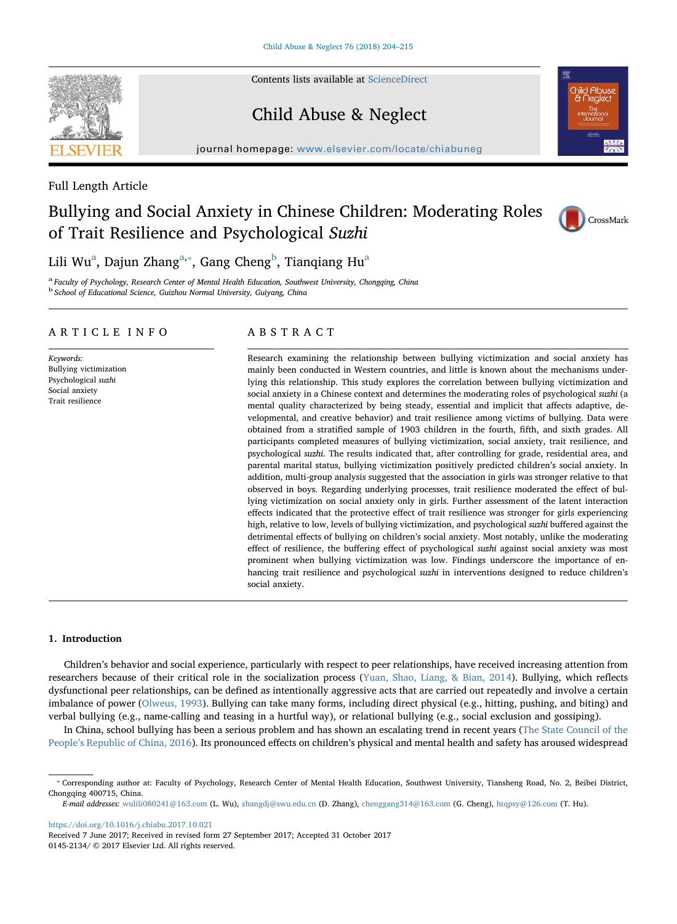Contents lists available at [ScienceDirect](http://www.sciencedirect.com/science/journal/01452134)

# Child Abuse & Neglect

journal homepage: [www.elsevier.com/locate/chiabuneg](https://www.elsevier.com/locate/chiabuneg)

Full Length Article

## Bullying and Social Anxiety in Chinese Children: Moderating Roles of Trait Resilience and Psychological Suzhi



Lili Wu<sup>a</sup>, Dajun Zhang<sup>a,</sup>\*, Gang Cheng<sup>b</sup>, Tianqiang Hu<sup>a</sup>

<sup>a</sup> Faculty of Psychology, Research Center of Mental Health Education, Southwest University, Chongqing, China <sup>b</sup> School of Educational Science, Guizhou Normal University, Guiyang, China

### ARTICLE INFO

Keywords: Bullying victimization Psychological suzhi Social anxiety Trait resilience

## ABSTRACT

Research examining the relationship between bullying victimization and social anxiety has mainly been conducted in Western countries, and little is known about the mechanisms underlying this relationship. This study explores the correlation between bullying victimization and social anxiety in a Chinese context and determines the moderating roles of psychological suzhi (a mental quality characterized by being steady, essential and implicit that affects adaptive, developmental, and creative behavior) and trait resilience among victims of bullying. Data were obtained from a stratified sample of 1903 children in the fourth, fifth, and sixth grades. All participants completed measures of bullying victimization, social anxiety, trait resilience, and psychological suzhi. The results indicated that, after controlling for grade, residential area, and parental marital status, bullying victimization positively predicted children's social anxiety. In addition, multi-group analysis suggested that the association in girls was stronger relative to that observed in boys. Regarding underlying processes, trait resilience moderated the effect of bullying victimization on social anxiety only in girls. Further assessment of the latent interaction effects indicated that the protective effect of trait resilience was stronger for girls experiencing high, relative to low, levels of bullying victimization, and psychological suzhi buffered against the detrimental effects of bullying on children's social anxiety. Most notably, unlike the moderating effect of resilience, the buffering effect of psychological *suzhi* against social anxiety was most prominent when bullying victimization was low. Findings underscore the importance of enhancing trait resilience and psychological suzhi in interventions designed to reduce children's social anxiety.

#### 1. Introduction

Children's behavior and social experience, particularly with respect to peer relationships, have received increasing attention from researchers because of their critical role in the socialization process (Yuan, Shao, Liang, & Bian, 2014). Bullying, which reflects dysfunctional peer relationships, can be defined as intentionally aggressive acts that are carried out repeatedly and involve a certain imbalance of power (Olweus, 1993). Bullying can take many forms, including direct physical (e.g., hitting, pushing, and biting) and verbal bullying (e.g., name-calling and teasing in a hurtful way), or relational bullying (e.g., social exclusion and gossiping).

In China, school bullying has been a serious problem and has shown an escalating trend in recent years (The State Council of the People's Republic of China, 2016). Its pronounced effects on children's physical and mental health and safety has aroused widespread

<https://doi.org/10.1016/j.chiabu.2017.10.021>

Received 7 June 2017; Received in revised form 27 September 2017; Accepted 31 October 2017 0145-2134/ © 2017 Elsevier Ltd. All rights reserved.



<sup>⁎</sup> Corresponding author at: Faculty of Psychology, Research Center of Mental Health Education, Southwest University, Tiansheng Road, No. 2, Beibei District, Chongqing 400715, China.

E-mail addresses: [wulili080241@163.com](mailto:wulili080241@163.com) (L. Wu), [zhangdj@swu.edu.cn](mailto:zhangdj@swu.edu.cn) (D. Zhang), [chenggang314@163.com](mailto:chenggang314@163.com) (G. Cheng), [htqpsy@126.com](mailto:htqpsy@126.com) (T. Hu).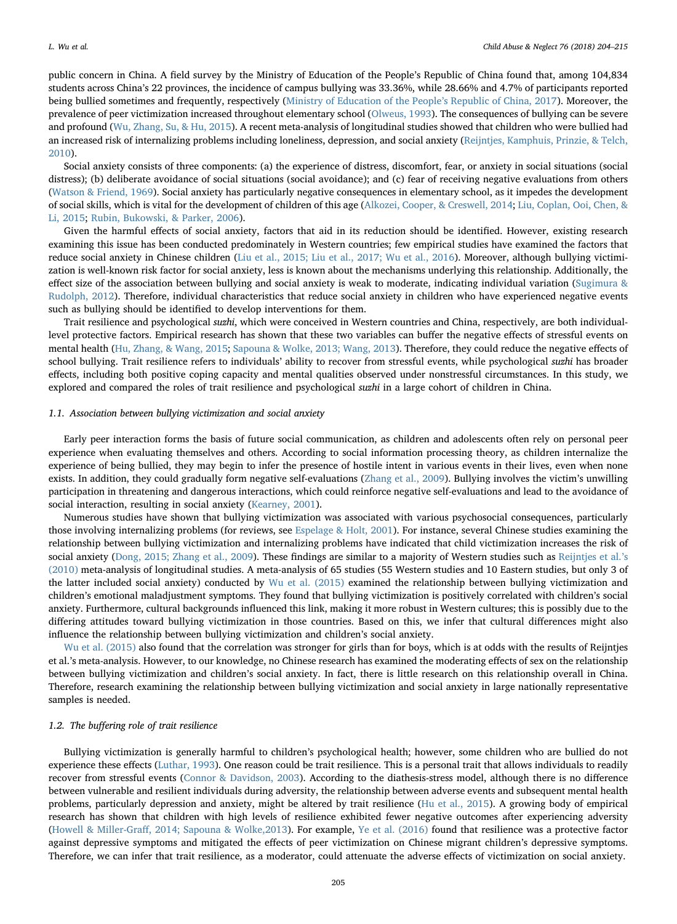public concern in China. A field survey by the Ministry of Education of the People's Republic of China found that, among 104,834 students across China's 22 provinces, the incidence of campus bullying was 33.36%, while 28.66% and 4.7% of participants reported being bullied sometimes and frequently, respectively (Ministry of Education of the People's Republic of China, 2017). Moreover, the prevalence of peer victimization increased throughout elementary school (Olweus, 1993). The consequences of bullying can be severe and profound (Wu, Zhang, Su, & Hu, 2015). A recent meta-analysis of longitudinal studies showed that children who were bullied had an increased risk of internalizing problems including loneliness, depression, and social anxiety (Reijntjes, Kamphuis, Prinzie, & Telch, 2010).

Social anxiety consists of three components: (a) the experience of distress, discomfort, fear, or anxiety in social situations (social distress); (b) deliberate avoidance of social situations (social avoidance); and (c) fear of receiving negative evaluations from others (Watson & Friend, 1969). Social anxiety has particularly negative consequences in elementary school, as it impedes the development of social skills, which is vital for the development of children of this age (Alkozei, Cooper, & Creswell, 2014; Liu, Coplan, Ooi, Chen, & Li, 2015; Rubin, Bukowski, & Parker, 2006).

Given the harmful effects of social anxiety, factors that aid in its reduction should be identified. However, existing research examining this issue has been conducted predominately in Western countries; few empirical studies have examined the factors that reduce social anxiety in Chinese children (Liu et al., 2015; Liu et al., 2017; Wu et al., 2016). Moreover, although bullying victimization is well-known risk factor for social anxiety, less is known about the mechanisms underlying this relationship. Additionally, the effect size of the association between bullying and social anxiety is weak to moderate, indicating individual variation (Sugimura & Rudolph, 2012). Therefore, individual characteristics that reduce social anxiety in children who have experienced negative events such as bullying should be identified to develop interventions for them.

Trait resilience and psychological suzhi, which were conceived in Western countries and China, respectively, are both individuallevel protective factors. Empirical research has shown that these two variables can buffer the negative effects of stressful events on mental health (Hu, Zhang, & Wang, 2015; Sapouna & Wolke, 2013; Wang, 2013). Therefore, they could reduce the negative effects of school bullying. Trait resilience refers to individuals' ability to recover from stressful events, while psychological suzhi has broader effects, including both positive coping capacity and mental qualities observed under nonstressful circumstances. In this study, we explored and compared the roles of trait resilience and psychological suzhi in a large cohort of children in China.

#### 1.1. Association between bullying victimization and social anxiety

Early peer interaction forms the basis of future social communication, as children and adolescents often rely on personal peer experience when evaluating themselves and others. According to social information processing theory, as children internalize the experience of being bullied, they may begin to infer the presence of hostile intent in various events in their lives, even when none exists. In addition, they could gradually form negative self-evaluations (Zhang et al., 2009). Bullying involves the victim's unwilling participation in threatening and dangerous interactions, which could reinforce negative self-evaluations and lead to the avoidance of social interaction, resulting in social anxiety (Kearney, 2001).

Numerous studies have shown that bullying victimization was associated with various psychosocial consequences, particularly those involving internalizing problems (for reviews, see Espelage & Holt, 2001). For instance, several Chinese studies examining the relationship between bullying victimization and internalizing problems have indicated that child victimization increases the risk of social anxiety (Dong, 2015; Zhang et al., 2009). These findings are similar to a majority of Western studies such as Reijntjes et al.'s (2010) meta-analysis of longitudinal studies. A meta-analysis of 65 studies (55 Western studies and 10 Eastern studies, but only 3 of the latter included social anxiety) conducted by Wu et al. (2015) examined the relationship between bullying victimization and children's emotional maladjustment symptoms. They found that bullying victimization is positively correlated with children's social anxiety. Furthermore, cultural backgrounds influenced this link, making it more robust in Western cultures; this is possibly due to the differing attitudes toward bullying victimization in those countries. Based on this, we infer that cultural differences might also influence the relationship between bullying victimization and children's social anxiety.

Wu et al. (2015) also found that the correlation was stronger for girls than for boys, which is at odds with the results of Reijntjes et al.'s meta-analysis. However, to our knowledge, no Chinese research has examined the moderating effects of sex on the relationship between bullying victimization and children's social anxiety. In fact, there is little research on this relationship overall in China. Therefore, research examining the relationship between bullying victimization and social anxiety in large nationally representative samples is needed.

#### 1.2. The buffering role of trait resilience

Bullying victimization is generally harmful to children's psychological health; however, some children who are bullied do not experience these effects (Luthar, 1993). One reason could be trait resilience. This is a personal trait that allows individuals to readily recover from stressful events (Connor & Davidson, 2003). According to the diathesis-stress model, although there is no difference between vulnerable and resilient individuals during adversity, the relationship between adverse events and subsequent mental health problems, particularly depression and anxiety, might be altered by trait resilience (Hu et al., 2015). A growing body of empirical research has shown that children with high levels of resilience exhibited fewer negative outcomes after experiencing adversity (Howell & Miller-Graff, 2014; Sapouna & Wolke,2013). For example, Ye et al. (2016) found that resilience was a protective factor against depressive symptoms and mitigated the effects of peer victimization on Chinese migrant children's depressive symptoms. Therefore, we can infer that trait resilience, as a moderator, could attenuate the adverse effects of victimization on social anxiety.